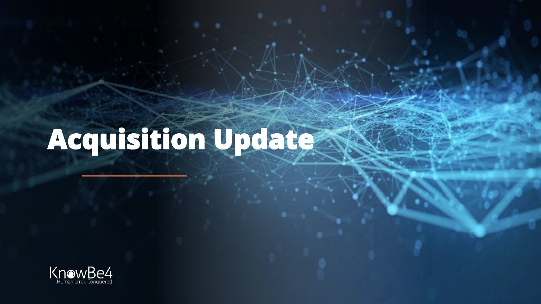# **Acquisition Update**

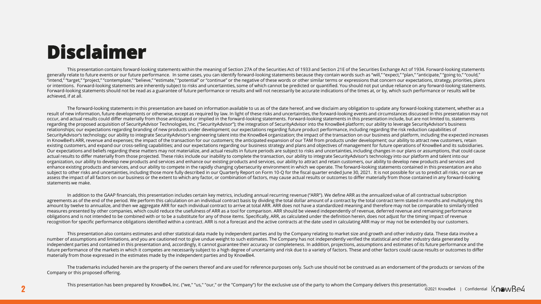## **Disclaimer**

This presentation contains forward-looking statements within the meaning of Section 27A of the Securities Act of 1933 and Section 21E of the Securities Exchange Act of 1934. Forward-looking statements generally relate to future events or our future performance. In some cases, you can identify forward-looking statements because they contain words such as "will," "expect," "plan," "anticipate," "going to," "could," "intend," "target," "project," "contemplate," "believe," "estimate," "potential" or "continue" or the negative of these words or other similar terms or expressions that concern our expectations, strategy, priorities, plans or intentions. Forward-looking statements are inherently subject to risks and uncertainties, some of which cannot be predicted or quantified. You should not put undue reliance on any forward-looking statements. Forward-looking statements should not be read as a guarantee of future performance or results and will not necessarily be accurate indications of the times at, or by, which such performance or results will be achieved, if at all.

The forward-looking statements in this presentation are based on information available to us as of the date hereof, and we disclaim any obligation to update any forward-looking statement, whether as a result of new information, future developments or otherwise, except as required by law. In light of these risks and uncertainties, the forward-looking events and circumstances discussed in this presentation may not occur, and actual results could differ materially from those anticipated or implied in the forward-looking statements. Forward-looking statements in this presentation include, but are not limited to, statements regarding the proposed acquisition of SecurityAdvisor Technologies, Inc. ("SecurityAdvisor"); the integration of SecurityAdvisor into the KnowBe4 platform; our ability to leverage SecurityAdvisor's business relationships; our expectations regarding branding of new products under development; our expectations regarding future product performance, including regarding the risk reduction capabilities of SecurityAdvisor's technology; our ability to integrate SecurityAdvisor's engineering talent into the KnowBe4 organization; the impact of the transaction on our business and platform, including the expected increases in KnowBe4's ARR, revenue and expenses; the impact of the transaction for our customers; the anticipated expansion of our TAM from products under development; our ability to attract new customers, retain existing customers, and expand our cross-selling capabilities; and our expectations regarding our business strategy and plans and objectives of management for future operations of KnowBe4 and its subsidiaries. Our expectations and beliefs regarding these matters may not materialize, and actual results in future periods are subject to risks and uncertainties, including changes in our plans or assumptions, that could cause actual results to differ materially from those projected. These risks include our inability to complete the transaction, our ability to integrate SecurityAdvisor's technology into our platform and talent into our organization, our ability to develop new products and services and enhance our existing products and services, our ability to attract and retain customers, our ability to develop new products and services and enhance existing products and services, and our ability to compete in the rapidly changing cybersecurity environment in which we operate. The forward-looking statements contained in this presentation are also subject to other risks and uncertainties, including those more fully described in our Quarterly Report on Form 10-Q for the fiscal quarter ended June 30, 2021. It is not possible for us to predict all risks, nor can we assess the impact of all factors on our business or the extent to which any factor, or combination of factors, may cause actual results or outcomes to differ materially from those contained in any forward-looking statements we make.

In addition to the GAAP financials, this presentation includes certain key metrics, including annual recurring revenue ("ARR"). We define ARR as the annualized value of all contractual subscription agreements as of the end of the period. We perform this calculation on an individual contract basis by dividing the total dollar amount of a contract by the total contract term stated in months and multiplying this amount by twelve to annualize, and then we aggregate ARR for each individual contract to arrive at total ARR. ARR does not have a standardized meaning and therefore may not be comparable to similarly titled measures presented by other companies, which could reduce the usefulness of ARR as a tool for comparison. ARR should be viewed independently of revenue, deferred revenue and remaining performance obligations and is not intended to be combined with or to be a substitute for any of those items. Specifically, ARR, as calculated under the definition herein, does not adjust for the timing impact of revenue recognition for specific performance obligations identified within a contract. ARR is not a forecast and the active contracts at the date used in calculating ARR may or may not be extended by our customers.

This presentation also contains estimates and other statistical data made by independent parties and by the Company relating to market size and growth and other industry data. These data involve a number of assumptions and limitations, and you are cautioned not to give undue weight to such estimates. The Company has not independently verified the statistical and other industry data generated by independent parties and contained in this presentation and, accordingly, it cannot guarantee their accuracy or completeness. In addition, projections, assumptions and estimates of its future performance and the future performance of the markets in which it competes are necessarily subject to a high degree of uncertainty and risk due to a variety of factors. These and other factors could cause results or outcomes to differ materially from those expressed in the estimates made by the independent parties and by KnowBe4.

The trademarks included herein are the property of the owners thereof and are used for reference purposes only. Such use should not be construed as an endorsement of the products or services of the Company or this proposed offering.

**2** Confidential Confidential Confidential Confidential Confidential Confidential Confidential Confidential Confidential Confidential Confidential Confidential Confidential Confidential Confidential Confidential Confidenti This presentation has been prepared by KnowBe4, Inc. ("we," "us," "our," or the "Company") for the exclusive use of the party to whom the Company delivers this presentation.<br>© 2021 KnowBe4 | Confidential KnowBe4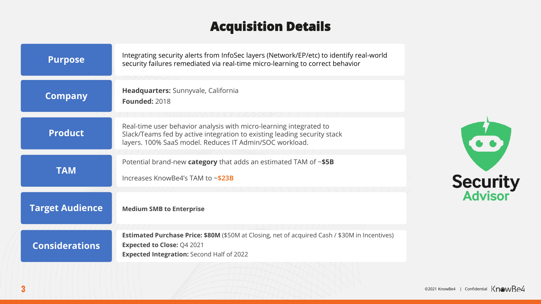## **Acquisition Details**

| <b>Purpose</b>         | Integrating security alerts from InfoSec layers (Network/EP/etc) to identify real-world<br>security failures remediated via real-time micro-learning to correct behavior                                  |
|------------------------|-----------------------------------------------------------------------------------------------------------------------------------------------------------------------------------------------------------|
| <b>Company</b>         | Headquarters: Sunnyvale, California<br><b>Founded: 2018</b>                                                                                                                                               |
| <b>Product</b>         | Real-time user behavior analysis with micro-learning integrated to<br>Slack/Teams fed by active integration to existing leading security stack<br>layers. 100% SaaS model. Reduces IT Admin/SOC workload. |
| <b>TAM</b>             | Potential brand-new category that adds an estimated TAM of $\sim$ \$5B<br>Increases KnowBe4's TAM to $\sim$ \$23B                                                                                         |
| <b>Target Audience</b> | <b>Medium SMB to Enterprise</b>                                                                                                                                                                           |
| <b>Considerations</b>  | <b>Estimated Purchase Price: \$80M</b> (\$50M at Closing, net of acquired Cash / \$30M in Incentives)<br><b>Expected to Close: Q4 2021</b><br><b>Expected Integration: Second Half of 2022</b>            |



Security<br>Advisor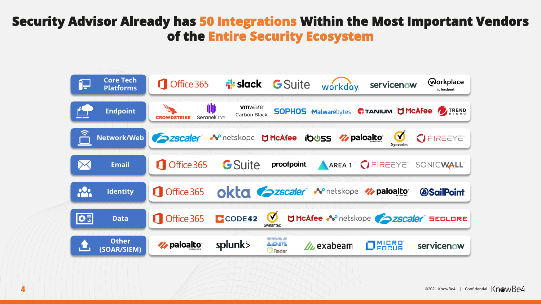## **Security Advisor Already has 50 Integrations Within the Most Important Vendors of the Entire Security Ecosystem**

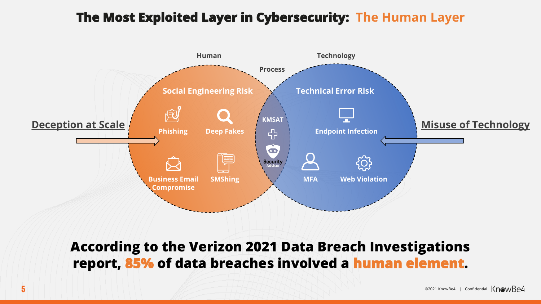## **The Most Exploited Layer in Cybersecurity: The Human Layer**



**According to the Verizon 2021 Data Breach Investigations report, 85% of data breaches involved a human element.**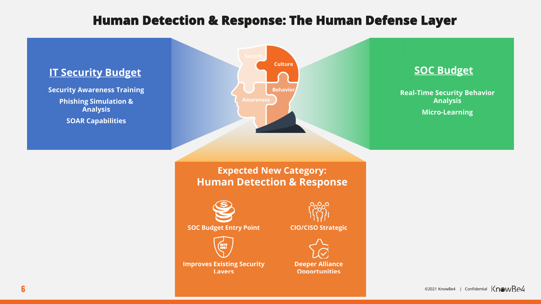## **Human Detection & Response: The Human Defense Layer**

#### **IT Security Budget**

**Security Awareness Training Phishing Simulation & Analysis SOAR Capabilities**



#### **SOC Budget**

**Real-Time Security Behavior Analysis Micro-Learning**

#### **Expected New Category: Human Detection & Response**



**SOC Budget Entry Point**



**Improves Existing Security Layers**



**CIO/CISO Strategic**



**Deeper Alliance Opportunities**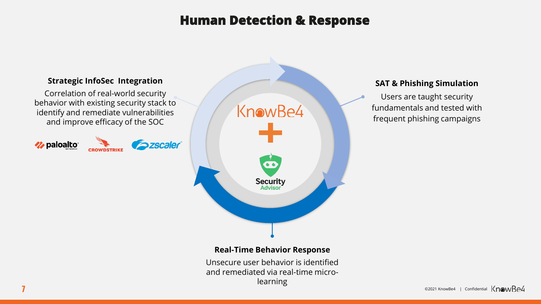## **Human Detection & Response**



Unsecure user behavior is identified and remediated via real-time microlearning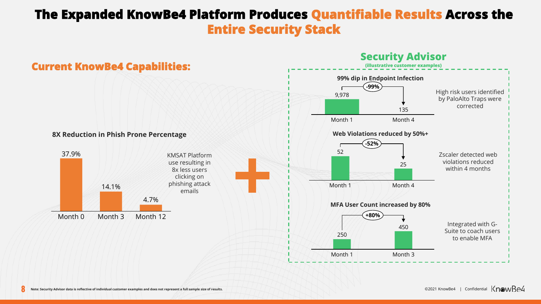## **The Expanded KnowBe4 Platform Produces Quantifiable Results Across the Entire Security Stack**

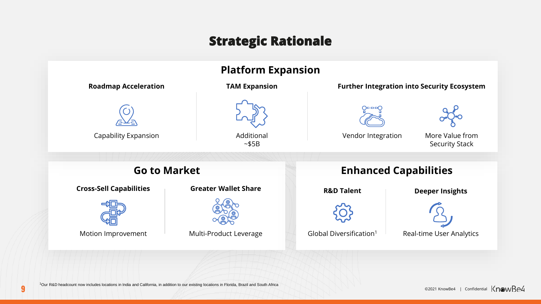## **Strategic Rationale**



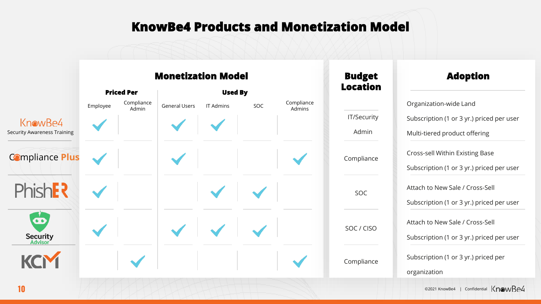## **KnowBe4 Products and Monetization Model**

|                                    |                   |                     | <b>Monetization Model</b> |                  | <b>Budget</b> | <b>Adoption</b>      |                 |                                           |
|------------------------------------|-------------------|---------------------|---------------------------|------------------|---------------|----------------------|-----------------|-------------------------------------------|
|                                    | <b>Priced Per</b> |                     | <b>Used By</b>            |                  |               |                      | <b>Location</b> |                                           |
|                                    | Employee          | Compliance<br>Admin | <b>General Users</b>      | <b>IT Admins</b> | SOC           | Compliance<br>Admins |                 | Organization-wide Land                    |
| KnowBe4                            |                   |                     |                           |                  |               |                      | IT/Security     | Subscription (1 or 3 yr.) priced per user |
| <b>Security Awareness Training</b> |                   |                     |                           |                  |               |                      | Admin           | Multi-tiered product offering             |
| <b>Compliance Plus</b>             |                   |                     |                           |                  |               |                      | Compliance      | Cross-sell Within Existing Base           |
|                                    |                   |                     |                           |                  |               |                      |                 | Subscription (1 or 3 yr.) priced per user |
| Phish <b>F?</b>                    |                   |                     |                           |                  |               |                      | <b>SOC</b>      | Attach to New Sale / Cross-Sell           |
|                                    |                   |                     |                           |                  |               |                      |                 | Subscription (1 or 3 yr.) priced per user |
| $\bullet$                          |                   |                     |                           |                  |               |                      | SOC / CISO      | Attach to New Sale / Cross-Sell           |
| <b>Security</b><br>Advisor         |                   |                     |                           |                  |               |                      |                 | Subscription (1 or 3 yr.) priced per user |
|                                    |                   |                     |                           |                  |               |                      | Compliance      | Subscription (1 or 3 yr.) priced per      |
|                                    |                   |                     |                           |                  |               |                      |                 | organization                              |

**10** ©2021 KnowBe4 | Confidential KnowBe4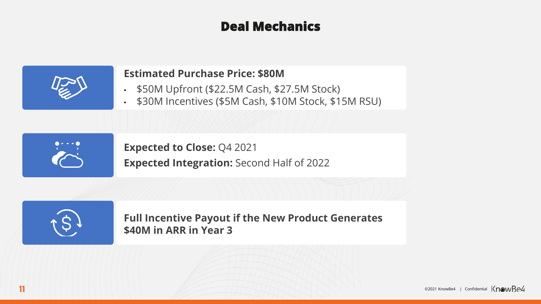## **Deal Mechanics**

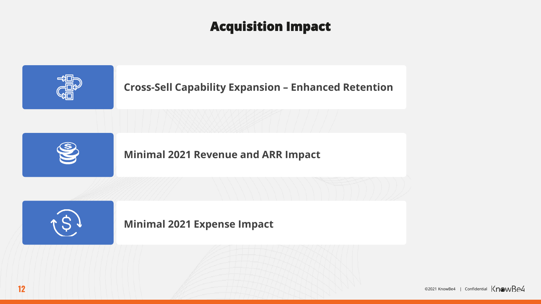## **Acquisition Impact**



**12 Confidential KnowBe4** | Confidential KnowBe4